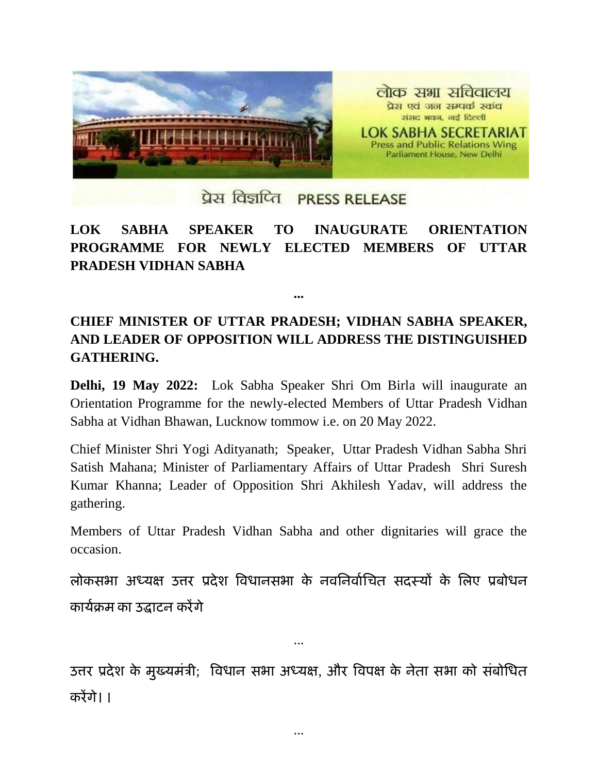

## प्रेस विज्ञप्ति PRESS RELEASE

## **LOK SABHA SPEAKER TO INAUGURATE ORIENTATION PROGRAMME FOR NEWLY ELECTED MEMBERS OF UTTAR PRADESH VIDHAN SABHA**

## **CHIEF MINISTER OF UTTAR PRADESH; VIDHAN SABHA SPEAKER, AND LEADER OF OPPOSITION WILL ADDRESS THE DISTINGUISHED GATHERING.**

**...**

**Delhi, 19 May 2022:** Lok Sabha Speaker Shri Om Birla will inaugurate an Orientation Programme for the newly-elected Members of Uttar Pradesh Vidhan Sabha at Vidhan Bhawan, Lucknow tommow i.e. on 20 May 2022.

Chief Minister Shri Yogi Adityanath; Speaker, Uttar Pradesh Vidhan Sabha Shri Satish Mahana; Minister of Parliamentary Affairs of Uttar Pradesh Shri Suresh Kumar Khanna; Leader of Opposition Shri Akhilesh Yadav, will address the gathering.

Members of Uttar Pradesh Vidhan Sabha and other dignitaries will grace the occasion.

लोकसभा अध्यक्ष उत्तर प्रदेश विधानसभा के नवनिर्वाचित सदस्यों के लिए प्रबोधन कायाक्रम का उद्घाटन करेंगे

उत्तर प्रदेश के मुख्यमंत्री; विधान सभा अध्यक्ष, और विपक्ष के नेता सभा को संबोधित करेंगे। ।

...

...